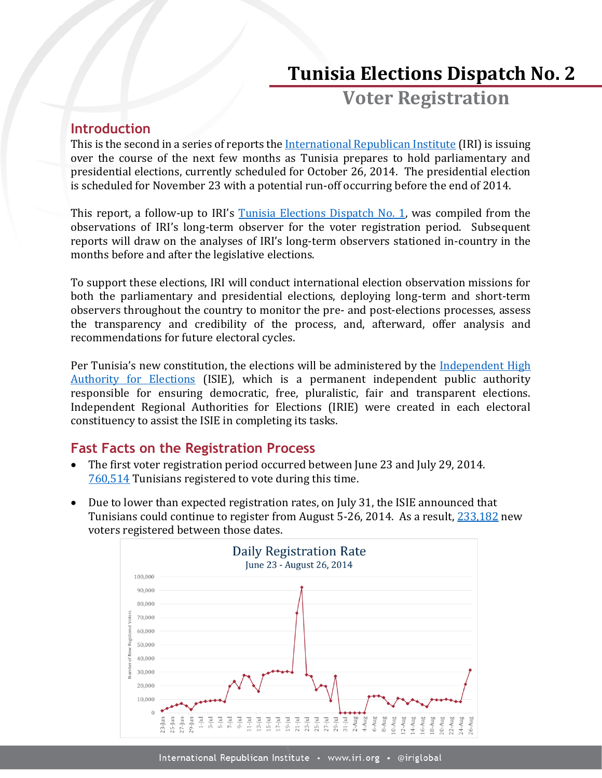# **Tunisia Elections Dispatch No. 2**

**Voter Registration**

## **Introduction**

This is the second in a series of reports the [International Republican Institute](http://www.iri.org/) (IRI) is issuing over the course of the next few months as Tunisia prepares to hold parliamentary and presidential elections, currently scheduled for October 26, 2014. The presidential election is scheduled for November 23 with a potential run-off occurring before the end of 2014.

This report, a follow-up to IRI's [Tunisia Elections Dispatch No. 1,](http://www.iri.org/sites/default/files/2014%20July%2029%20Tunisia%20Elections%20Dispatch%20No.%201-Voter%20Registration_0.pdf) was compiled from the observations of IRI's long-term observer for the voter registration period. Subsequent reports will draw on the analyses of IRI's long-term observers stationed in-country in the months before and after the legislative elections.

To support these elections, IRI will conduct international election observation missions for both the parliamentary and presidential elections, deploying long-term and short-term observers throughout the country to monitor the pre- and post-elections processes, assess the transparency and credibility of the process, and, afterward, offer analysis and recommendations for future electoral cycles.

Per Tunisia's new constitution, the elections will be administered by the [Independent High](http://www.isie.tn/)  [Authority for Elections](http://www.isie.tn/) (ISIE), which is a permanent independent public authority responsible for ensuring democratic, free, pluralistic, fair and transparent elections. Independent Regional Authorities for Elections (IRIE) were created in each electoral constituency to assist the ISIE in completing its tasks.

# **Fast Facts on the Registration Process**

- The first voter registration period occurred between June 23 and July 29, 2014. [760,514](http://www.isie.tn/documents/communique-presse-fin-enregistrement-electeurs-fr.pdf) Tunisians registered to vote during this time.
- Due to lower than expected registration rates, on July 31, the ISIE announced that Tunisians could continue to register from August 5-26, 2014. As a result, [233,182](http://www.isie.tn/documents/communique-presse-fin-enregistrement-electeurs-fr.pdf) new voters registered between those dates.

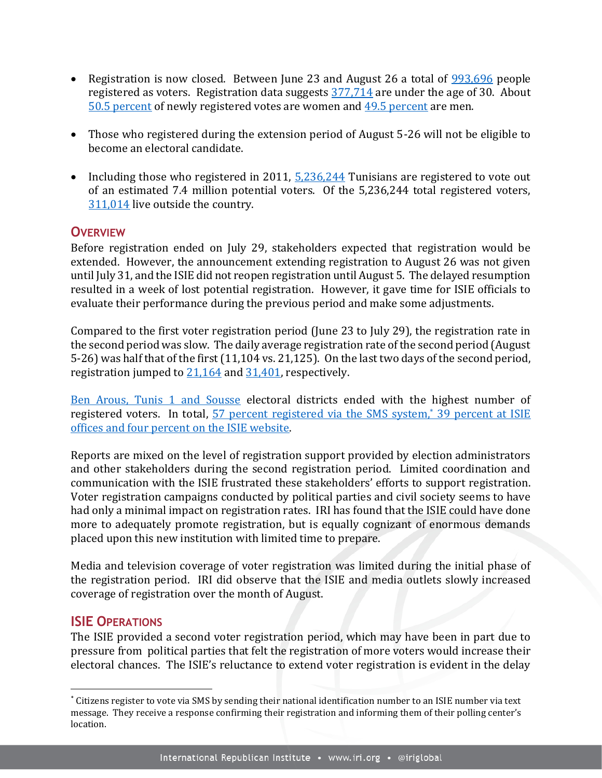- Registration is now closed. Between June 23 and August 26 a total of  $993,696$  people registered as voters. Registration data suggests [377,714](http://www.isie.tn/documents/stat-generale-19-08.pdf) are under the age of 30. About [50.5 percent](http://www.isie.tn/documents/communique-presse-fin-enregistrement-electeurs-fr.pdf) of newly registered votes are women and [49.5 percent](http://www.isie.tn/documents/communique-presse-fin-enregistrement-electeurs-fr.pdf) are men.
- Those who registered during the extension period of August 5-26 will not be eligible to become an electoral candidate.
- Including those who registered in 2011,  $\frac{5,236,244}{2}$  Tunisians are registered to vote out of an estimated 7.4 million potential voters. Of the 5,236,244 total registered voters, [311,014](http://www.isie.tn/documents/communique-presse-fin-enregistrement-electeurs-fr.pdf) live outside the country.

## **OVERVIEW**

Before registration ended on July 29, stakeholders expected that registration would be extended. However, the announcement extending registration to August 26 was not given until July 31, and the ISIE did not reopen registration until August 5. The delayed resumption resulted in a week of lost potential registration. However, it gave time for ISIE officials to evaluate their performance during the previous period and make some adjustments.

Compared to the first voter registration period (June 23 to July 29), the registration rate in the second period was slow. The daily average registration rate of the second period (August 5-26) was half that of the first (11,104 vs. 21,125). On the last two days of the second period, registration jumped to [21,164](http://www.isie.tn/documents/rapport-general-25-08-2014.pdf) and [31,401,](http://www.isie.tn/documents/communique-presse-fin-enregistrement-electeurs-fr.pdf) respectively.

[Ben Arous, Tunis 1 and Sousse](http://www.isie.tn/documents/rapport-general-25-08-2014.pdf) electoral districts ended with the highest number of registered voters. In total, [57 percent registered via the SMS](http://www.isie.tn/documents/rapport-general-25-08-2014.pdf) system,\* 39 percent at ISIE [offices and four percent on the ISIE website.](http://www.isie.tn/documents/rapport-general-25-08-2014.pdf)

Reports are mixed on the level of registration support provided by election administrators and other stakeholders during the second registration period. Limited coordination and communication with the ISIE frustrated these stakeholders' efforts to support registration. Voter registration campaigns conducted by political parties and civil society seems to have had only a minimal impact on registration rates. IRI has found that the ISIE could have done more to adequately promote registration, but is equally cognizant of enormous demands placed upon this new institution with limited time to prepare.

Media and television coverage of voter registration was limited during the initial phase of the registration period. IRI did observe that the ISIE and media outlets slowly increased coverage of registration over the month of August.

### **ISIE OPERATIONS**

l

The ISIE provided a second voter registration period, which may have been in part due to pressure from political parties that felt the registration of more voters would increase their electoral chances. The ISIE's reluctance to extend voter registration is evident in the delay

<sup>\*</sup> Citizens register to vote via SMS by sending their national identification number to an ISIE number via text message. They receive a response confirming their registration and informing them of their polling center's location.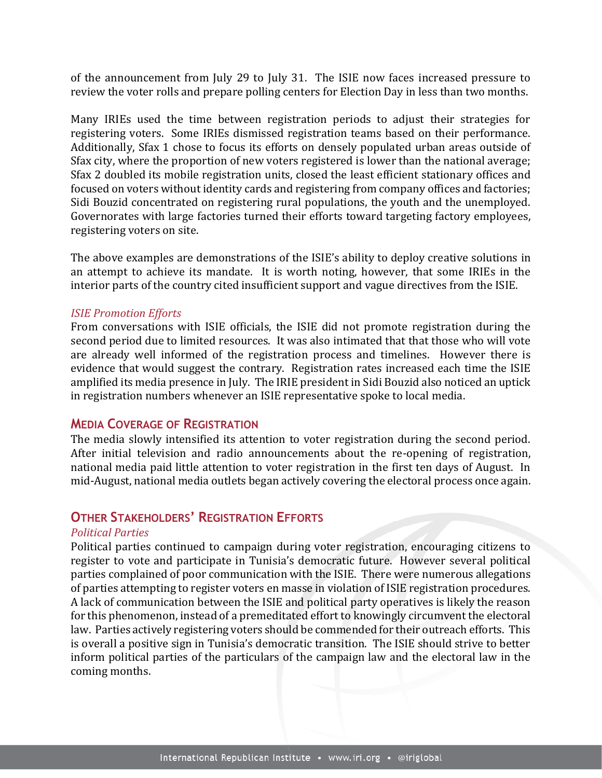of the announcement from July 29 to July 31. The ISIE now faces increased pressure to review the voter rolls and prepare polling centers for Election Day in less than two months.

Many IRIEs used the time between registration periods to adjust their strategies for registering voters. Some IRIEs dismissed registration teams based on their performance. Additionally, Sfax 1 chose to focus its efforts on densely populated urban areas outside of Sfax city, where the proportion of new voters registered is lower than the national average; Sfax 2 doubled its mobile registration units, closed the least efficient stationary offices and focused on voters without identity cards and registering from company offices and factories; Sidi Bouzid concentrated on registering rural populations, the youth and the unemployed. Governorates with large factories turned their efforts toward targeting factory employees, registering voters on site.

The above examples are demonstrations of the ISIE's ability to deploy creative solutions in an attempt to achieve its mandate. It is worth noting, however, that some IRIEs in the interior parts of the country cited insufficient support and vague directives from the ISIE.

#### *ISIE Promotion Efforts*

From conversations with ISIE officials, the ISIE did not promote registration during the second period due to limited resources. It was also intimated that that those who will vote are already well informed of the registration process and timelines. However there is evidence that would suggest the contrary. Registration rates increased each time the ISIE amplified its media presence in July. The IRIE president in Sidi Bouzid also noticed an uptick in registration numbers whenever an ISIE representative spoke to local media.

#### **MEDIA COVERAGE OF REGISTRATION**

The media slowly intensified its attention to voter registration during the second period. After initial television and radio announcements about the re-opening of registration, national media paid little attention to voter registration in the first ten days of August. In mid-August, national media outlets began actively covering the electoral process once again.

## **OTHER STAKEHOLDERS' REGISTRATION EFFORTS**

#### *Political Parties*

Political parties continued to campaign during voter registration, encouraging citizens to register to vote and participate in Tunisia's democratic future. However several political parties complained of poor communication with the ISIE. There were numerous allegations of parties attempting to register voters en masse in violation of ISIE registration procedures. A lack of communication between the ISIE and political party operatives is likely the reason for this phenomenon, instead of a premeditated effort to knowingly circumvent the electoral law. Parties actively registering voters should be commended for their outreach efforts. This is overall a positive sign in Tunisia's democratic transition. The ISIE should strive to better inform political parties of the particulars of the campaign law and the electoral law in the coming months.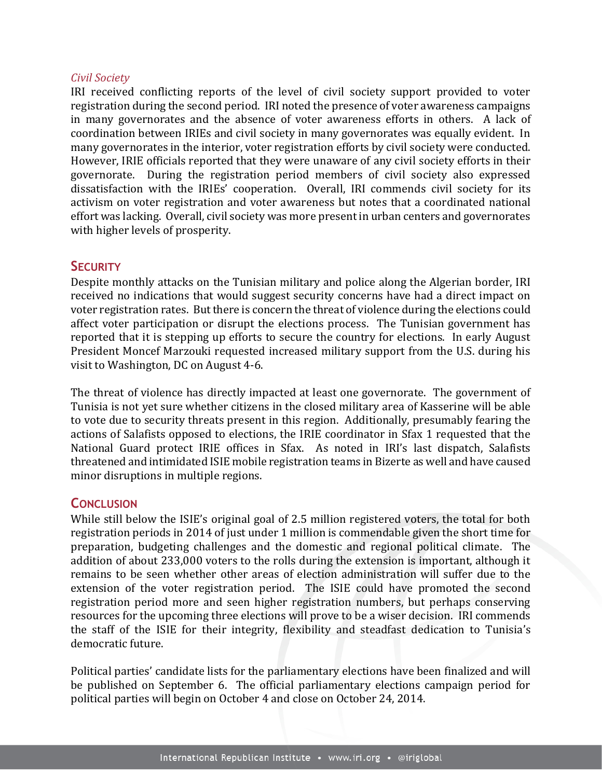#### *Civil Society*

IRI received conflicting reports of the level of civil society support provided to voter registration during the second period. IRI noted the presence of voter awareness campaigns in many governorates and the absence of voter awareness efforts in others. A lack of coordination between IRIEs and civil society in many governorates was equally evident. In many governorates in the interior, voter registration efforts by civil society were conducted. However, IRIE officials reported that they were unaware of any civil society efforts in their governorate. During the registration period members of civil society also expressed dissatisfaction with the IRIEs' cooperation. Overall, IRI commends civil society for its activism on voter registration and voter awareness but notes that a coordinated national effort was lacking. Overall, civil society was more present in urban centers and governorates with higher levels of prosperity.

### **SECURITY**

Despite monthly attacks on the Tunisian military and police along the Algerian border, IRI received no indications that would suggest security concerns have had a direct impact on voter registration rates. But there is concern the threat of violence during the elections could affect voter participation or disrupt the elections process. The Tunisian government has reported that it is stepping up efforts to secure the country for elections. In early August President Moncef Marzouki requested increased military support from the U.S. during his visit to Washington, DC on August 4-6.

The threat of violence has directly impacted at least one governorate. The government of Tunisia is not yet sure whether citizens in the closed military area of Kasserine will be able to vote due to security threats present in this region. Additionally, presumably fearing the actions of Salafists opposed to elections, the IRIE coordinator in Sfax 1 requested that the National Guard protect IRIE offices in Sfax. As noted in IRI's last dispatch, Salafists threatened and intimidated ISIE mobile registration teams in Bizerte as well and have caused minor disruptions in multiple regions.

### **CONCLUSION**

While still below the ISIE's original goal of 2.5 million registered voters, the total for both registration periods in 2014 of just under 1 million is commendable given the short time for preparation, budgeting challenges and the domestic and regional political climate. The addition of about 233,000 voters to the rolls during the extension is important, although it remains to be seen whether other areas of election administration will suffer due to the extension of the voter registration period. The ISIE could have promoted the second registration period more and seen higher registration numbers, but perhaps conserving resources for the upcoming three elections will prove to be a wiser decision. IRI commends the staff of the ISIE for their integrity, flexibility and steadfast dedication to Tunisia's democratic future.

Political parties' candidate lists for the parliamentary elections have been finalized and will be published on September 6. The official parliamentary elections campaign period for political parties will begin on October 4 and close on October 24, 2014.